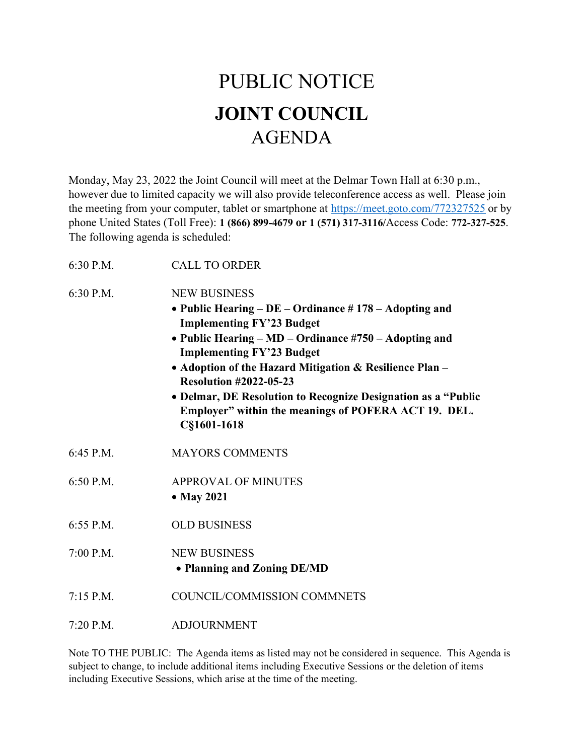## PUBLIC NOTICE JOINT COUNCIL AGENDA

Monday, May 23, 2022 the Joint Council will meet at the Delmar Town Hall at 6:30 p.m., however due to limited capacity we will also provide teleconference access as well. Please join the meeting from your computer, tablet or smartphone at https://meet.goto.com/772327525 or by phone United States (Toll Free): 1 (866) 899-4679 or 1 (571) 317-3116/Access Code: 772-327-525. The following agenda is scheduled:

| 6:30 P.M.   | <b>CALL TO ORDER</b>                                                                                                                                                                                                                                                                                                                                                                                                                                |
|-------------|-----------------------------------------------------------------------------------------------------------------------------------------------------------------------------------------------------------------------------------------------------------------------------------------------------------------------------------------------------------------------------------------------------------------------------------------------------|
| 6:30 P.M.   | <b>NEW BUSINESS</b><br>• Public Hearing – $DE$ – Ordinance #178 – Adopting and<br><b>Implementing FY'23 Budget</b><br>• Public Hearing – MD – Ordinance #750 – Adopting and<br><b>Implementing FY'23 Budget</b><br>• Adoption of the Hazard Mitigation & Resilience Plan -<br><b>Resolution #2022-05-23</b><br>• Delmar, DE Resolution to Recognize Designation as a "Public<br>Employer" within the meanings of POFERA ACT 19. DEL.<br>C§1601-1618 |
| 6:45 P.M.   | <b>MAYORS COMMENTS</b>                                                                                                                                                                                                                                                                                                                                                                                                                              |
| 6:50 P.M.   | <b>APPROVAL OF MINUTES</b><br>• May 2021                                                                                                                                                                                                                                                                                                                                                                                                            |
| 6:55 P.M.   | <b>OLD BUSINESS</b>                                                                                                                                                                                                                                                                                                                                                                                                                                 |
| $7:00$ P.M. | <b>NEW BUSINESS</b><br>• Planning and Zoning DE/MD                                                                                                                                                                                                                                                                                                                                                                                                  |
| $7:15$ P.M. | COUNCIL/COMMISSION COMMNETS                                                                                                                                                                                                                                                                                                                                                                                                                         |

7:20 P.M. ADJOURNMENT

Note TO THE PUBLIC: The Agenda items as listed may not be considered in sequence. This Agenda is subject to change, to include additional items including Executive Sessions or the deletion of items including Executive Sessions, which arise at the time of the meeting.